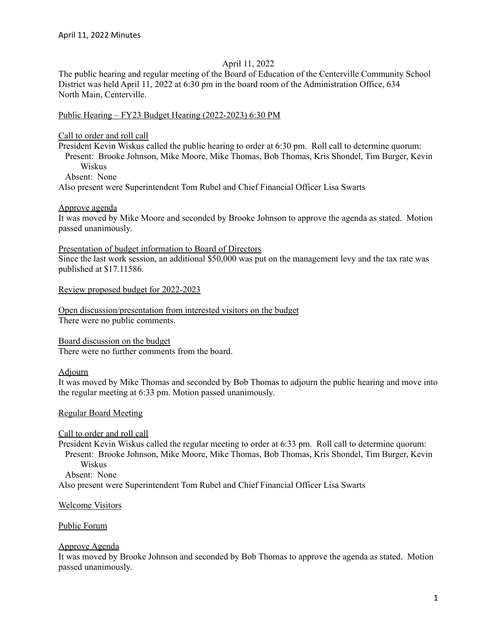#### April 11, 2022

The public hearing and regular meeting of the Board of Education of the Centerville Community School District was held April 11, 2022 at 6:30 pm in the board room of the Administration Office, 634 North Main, Centerville.

#### Public Hearing – FY23 Budget Hearing (2022-2023) 6:30 PM

Call to order and roll call

President Kevin Wiskus called the public hearing to order at 6:30 pm. Roll call to determine quorum: Present: Brooke Johnson, Mike Moore, Mike Thomas, Bob Thomas, Kris Shondel, Tim Burger, Kevin Wiskus

Absent: None

Also present were Superintendent Tom Rubel and Chief Financial Officer Lisa Swarts

Approve agenda

It was moved by Mike Moore and seconded by Brooke Johnson to approve the agenda as stated. Motion passed unanimously.

Presentation of budget information to Board of Directors

Since the last work session, an additional \$50,000 was put on the management levy and the tax rate was published at \$17.11586.

Review proposed budget for 2022-2023

Open discussion/presentation from interested visitors on the budget There were no public comments.

Board discussion on the budget

There were no further comments from the board.

### Adjourn

It was moved by Mike Thomas and seconded by Bob Thomas to adjourn the public hearing and move into the regular meeting at 6:33 pm. Motion passed unanimously.

### Regular Board Meeting

Call to order and roll call

President Kevin Wiskus called the regular meeting to order at 6:33 pm. Roll call to determine quorum: Present: Brooke Johnson, Mike Moore, Mike Thomas, Bob Thomas, Kris Shondel, Tim Burger, Kevin Wiskus

Absent: None

Also present were Superintendent Tom Rubel and Chief Financial Officer Lisa Swarts

Welcome Visitors

### Public Forum

### Approve Agenda

It was moved by Brooke Johnson and seconded by Bob Thomas to approve the agenda as stated. Motion passed unanimously.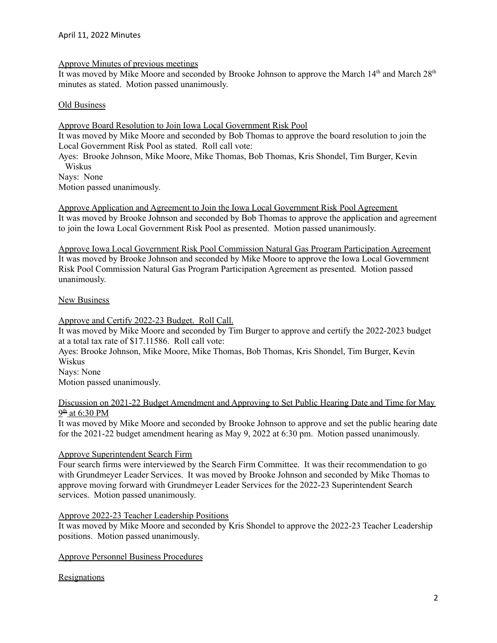### Approve Minutes of previous meetings

It was moved by Mike Moore and seconded by Brooke Johnson to approve the March 14<sup>th</sup> and March 28<sup>th</sup> minutes as stated. Motion passed unanimously.

#### Old Business

Approve Board Resolution to Join Iowa Local Government Risk Pool

It was moved by Mike Moore and seconded by Bob Thomas to approve the board resolution to join the Local Government Risk Pool as stated. Roll call vote:

Ayes: Brooke Johnson, Mike Moore, Mike Thomas, Bob Thomas, Kris Shondel, Tim Burger, Kevin Wiskus

Nays: None

Motion passed unanimously.

Approve Application and Agreement to Join the Iowa Local Government Risk Pool Agreement It was moved by Brooke Johnson and seconded by Bob Thomas to approve the application and agreement to join the Iowa Local Government Risk Pool as presented. Motion passed unanimously.

Approve Iowa Local Government Risk Pool Commission Natural Gas Program Participation Agreement It was moved by Brooke Johnson and seconded by Mike Moore to approve the Iowa Local Government Risk Pool Commission Natural Gas Program Participation Agreement as presented. Motion passed unanimously.

### New Business

Approve and Certify 2022-23 Budget. Roll Call.

It was moved by Mike Moore and seconded by Tim Burger to approve and certify the 2022-2023 budget at a total tax rate of \$17.11586. Roll call vote:

Ayes: Brooke Johnson, Mike Moore, Mike Thomas, Bob Thomas, Kris Shondel, Tim Burger, Kevin Wiskus

Nays: None

Motion passed unanimously.

## Discussion on 2021-22 Budget Amendment and Approving to Set Public Hearing Date and Time for May <u>9<sup>th</sup> at 6:30 PM</u>

It was moved by Mike Moore and seconded by Brooke Johnson to approve and set the public hearing date for the 2021-22 budget amendment hearing as May 9, 2022 at 6:30 pm. Motion passed unanimously.

### Approve Superintendent Search Firm

Four search firms were interviewed by the Search Firm Committee. It was their recommendation to go with Grundmeyer Leader Services. It was moved by Brooke Johnson and seconded by Mike Thomas to approve moving forward with Grundmeyer Leader Services for the 2022-23 Superintendent Search services. Motion passed unanimously.

### Approve 2022-23 Teacher Leadership Positions

It was moved by Mike Moore and seconded by Kris Shondel to approve the 2022-23 Teacher Leadership positions. Motion passed unanimously.

Approve Personnel Business Procedures

### **Resignations**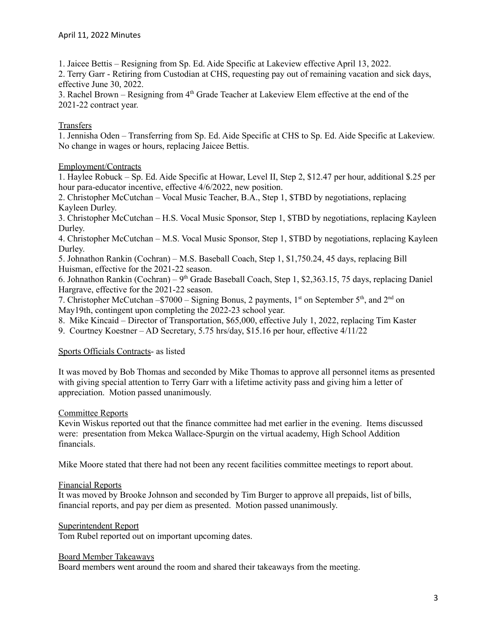1. Jaicee Bettis – Resigning from Sp. Ed. Aide Specific at Lakeview effective April 13, 2022.

2. Terry Garr - Retiring from Custodian at CHS, requesting pay out of remaining vacation and sick days, effective June 30, 2022.

3. Rachel Brown – Resigning from  $4<sup>th</sup>$  Grade Teacher at Lakeview Elem effective at the end of the 2021-22 contract year.

## Transfers

1. Jennisha Oden – Transferring from Sp. Ed. Aide Specific at CHS to Sp. Ed. Aide Specific at Lakeview. No change in wages or hours, replacing Jaicee Bettis.

## Employment/Contracts

1. Haylee Robuck – Sp. Ed. Aide Specific at Howar, Level II, Step 2, \$12.47 per hour, additional \$.25 per hour para-educator incentive, effective 4/6/2022, new position.

2. Christopher McCutchan – Vocal Music Teacher, B.A., Step 1, \$TBD by negotiations, replacing Kayleen Durley.

3. Christopher McCutchan – H.S. Vocal Music Sponsor, Step 1, \$TBD by negotiations, replacing Kayleen Durley.

4. Christopher McCutchan – M.S. Vocal Music Sponsor, Step 1, \$TBD by negotiations, replacing Kayleen Durley.

5. Johnathon Rankin (Cochran) – M.S. Baseball Coach, Step 1, \$1,750.24, 45 days, replacing Bill Huisman, effective for the 2021-22 season.

6. Johnathon Rankin (Cochran) –  $9<sup>th</sup>$  Grade Baseball Coach, Step 1, \$2,363.15, 75 days, replacing Daniel Hargrave, effective for the 2021-22 season.

7. Christopher McCutchan - \$7000 – Signing Bonus, 2 payments,  $1<sup>st</sup>$  on September  $5<sup>th</sup>$ , and  $2<sup>nd</sup>$  on May19th, contingent upon completing the 2022-23 school year.

8. Mike Kincaid – Director of Transportation, \$65,000, effective July 1, 2022, replacing Tim Kaster

9. Courtney Koestner – AD Secretary, 5.75 hrs/day, \$15.16 per hour, effective 4/11/22

### Sports Officials Contracts- as listed

It was moved by Bob Thomas and seconded by Mike Thomas to approve all personnel items as presented with giving special attention to Terry Garr with a lifetime activity pass and giving him a letter of appreciation. Motion passed unanimously.

## Committee Reports

Kevin Wiskus reported out that the finance committee had met earlier in the evening. Items discussed were: presentation from Mekca Wallace-Spurgin on the virtual academy, High School Addition financials.

Mike Moore stated that there had not been any recent facilities committee meetings to report about.

### Financial Reports

It was moved by Brooke Johnson and seconded by Tim Burger to approve all prepaids, list of bills, financial reports, and pay per diem as presented. Motion passed unanimously.

### Superintendent Report

Tom Rubel reported out on important upcoming dates.

### Board Member Takeaways

Board members went around the room and shared their takeaways from the meeting.